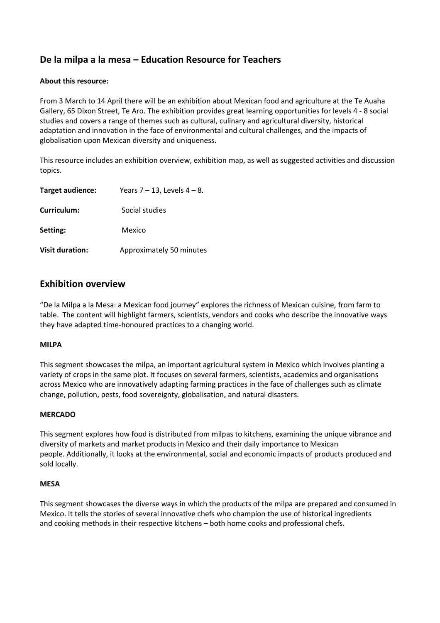# **De la milpa a la mesa – Education Resource for Teachers**

## **About this resource:**

From 3 March to 14 April there will be an exhibition about Mexican food and agriculture at the Te Auaha Gallery, 65 Dixon Street, Te Aro. The exhibition provides great learning opportunities for levels 4 - 8 social studies and covers a range of themes such as cultural, culinary and agricultural diversity, historical adaptation and innovation in the face of environmental and cultural challenges, and the impacts of globalisation upon Mexican diversity and uniqueness.

This resource includes an exhibition overview, exhibition map, as well as suggested activities and discussion topics.

| Target audience:       | Years $7 - 13$ , Levels $4 - 8$ . |
|------------------------|-----------------------------------|
| Curriculum:            | Social studies                    |
| Setting:               | Mexico                            |
| <b>Visit duration:</b> | Approximately 50 minutes          |

## **Exhibition overview**

"De la Milpa a la Mesa: a Mexican food journey" explores the richness of Mexican cuisine, from farm to table. The content will highlight farmers, scientists, vendors and cooks who describe the innovative ways they have adapted time-honoured practices to a changing world.

#### **MILPA**

This segment showcases the milpa, an important agricultural system in Mexico which involves planting a variety of crops in the same plot. It focuses on several farmers, scientists, academics and organisations across Mexico who are innovatively adapting farming practices in the face of challenges such as climate change, pollution, pests, food sovereignty, globalisation, and natural disasters.

## **MERCADO**

This segment explores how food is distributed from milpas to kitchens, examining the unique vibrance and diversity of markets and market products in Mexico and their daily importance to Mexican people. Additionally, it looks at the environmental, social and economic impacts of products produced and sold locally.

#### **MESA**

This segment showcases the diverse ways in which the products of the milpa are prepared and consumed in Mexico. It tells the stories of several innovative chefs who champion the use of historical ingredients and cooking methods in their respective kitchens – both home cooks and professional chefs.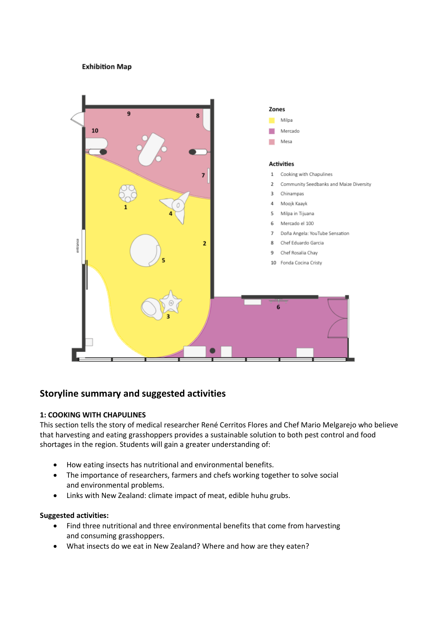## **Exhibition Map**



## **Storyline summary and suggested activities**

#### **1: COOKING WITH CHAPULINES**

This section tells the story of medical researcher René Cerritos Flores and Chef Mario Melgarejo who believe that harvesting and eating grasshoppers provides a sustainable solution to both pest control and food shortages in the region. Students will gain a greater understanding of:

- How eating insects has nutritional and environmental benefits.
- The importance of researchers, farmers and chefs working together to solve social and environmental problems.
- Links with New Zealand: climate impact of meat, edible huhu grubs.

#### **Suggested activities:**

- Find three nutritional and three environmental benefits that come from harvesting and consuming grasshoppers.
- What insects do we eat in New Zealand? Where and how are they eaten?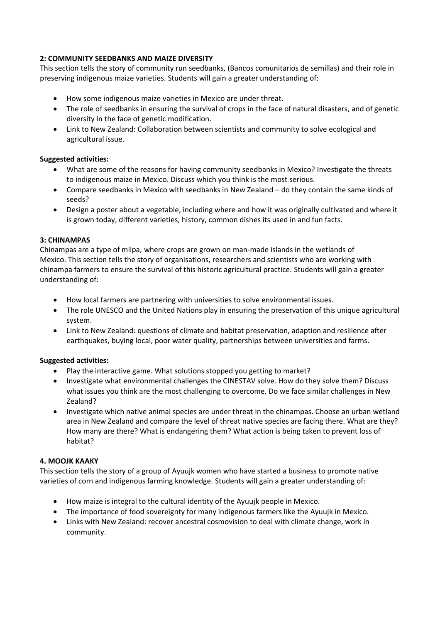## **2: COMMUNITY SEEDBANKS AND MAIZE DIVERSITY**

This section tells the story of community run seedbanks, (Bancos comunitarios de semillas) and their role in preserving indigenous maize varieties. Students will gain a greater understanding of:

- How some indigenous maize varieties in Mexico are under threat.
- The role of seedbanks in ensuring the survival of crops in the face of natural disasters, and of genetic diversity in the face of genetic modification.
- Link to New Zealand: Collaboration between scientists and community to solve ecological and agricultural issue.

## **Suggested activities:**

- What are some of the reasons for having community seedbanks in Mexico? Investigate the threats to indigenous maize in Mexico. Discuss which you think is the most serious.
- Compare seedbanks in Mexico with seedbanks in New Zealand do they contain the same kinds of seeds?
- Design a poster about a vegetable, including where and how it was originally cultivated and where it is grown today, different varieties, history, common dishes its used in and fun facts.

## **3: CHINAMPAS**

Chinampas are a type of milpa, where crops are grown on man-made islands in the wetlands of Mexico. This section tells the story of organisations, researchers and scientists who are working with chinampa farmers to ensure the survival of this historic agricultural practice. Students will gain a greater understanding of:

- How local farmers are partnering with universities to solve environmental issues.
- The role UNESCO and the United Nations play in ensuring the preservation of this unique agricultural system.
- Link to New Zealand: questions of climate and habitat preservation, adaption and resilience after earthquakes, buying local, poor water quality, partnerships between universities and farms.

#### **Suggested activities:**

- Play the interactive game. What solutions stopped you getting to market?
- Investigate what environmental challenges the CINESTAV solve. How do they solve them? Discuss what issues you think are the most challenging to overcome. Do we face similar challenges in New Zealand?
- Investigate which native animal species are under threat in the chinampas. Choose an urban wetland area in New Zealand and compare the level of threat native species are facing there. What are they? How many are there? What is endangering them? What action is being taken to prevent loss of habitat?

## **4. MOOJK KAAKY**

This section tells the story of a group of Ayuujk women who have started a business to promote native varieties of corn and indigenous farming knowledge. Students will gain a greater understanding of:

- How maize is integral to the cultural identity of the Ayuujk people in Mexico.
- The importance of food sovereignty for many indigenous farmers like the Ayuujk in Mexico.
- Links with New Zealand: recover ancestral cosmovision to deal with climate change, work in community.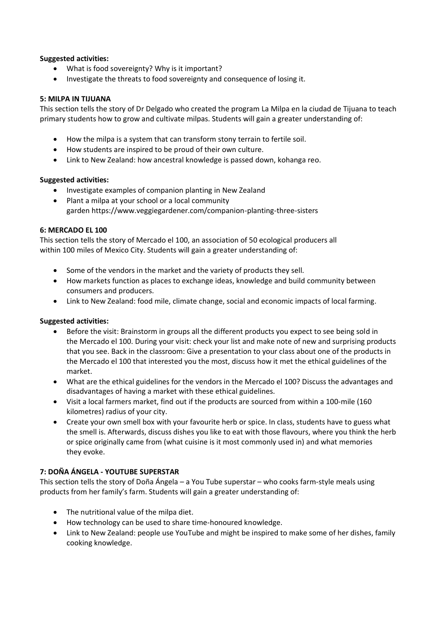## **Suggested activities:**

- What is food sovereignty? Why is it important?
- Investigate the threats to food sovereignty and consequence of losing it.

#### **5: MILPA IN TIJUANA**

This section tells the story of Dr Delgado who created the program La Milpa en la ciudad de Tijuana to teach primary students how to grow and cultivate milpas. Students will gain a greater understanding of:

- How the milpa is a system that can transform stony terrain to fertile soil.
- How students are inspired to be proud of their own culture.
- Link to New Zealand: how ancestral knowledge is passed down, kohanga reo.

## **Suggested activities:**

- Investigate examples of companion planting in New Zealand
- Plant a milpa at your school or a local community garden <https://www.veggiegardener.com/companion-planting-three-sisters>

## **6: MERCADO EL 100**

This section tells the story of Mercado el 100, an association of 50 ecological producers all within 100 miles of Mexico City. Students will gain a greater understanding of:

- Some of the vendors in the market and the variety of products they sell.
- How markets function as places to exchange ideas, knowledge and build community between consumers and producers.
- Link to New Zealand: food mile, climate change, social and economic impacts of local farming.

## **Suggested activities:**

- Before the visit: Brainstorm in groups all the different products you expect to see being sold in the Mercado el 100. During your visit: check your list and make note of new and surprising products that you see. Back in the classroom: Give a presentation to your class about one of the products in the Mercado el 100 that interested you the most, discuss how it met the ethical guidelines of the market.
- What are the ethical guidelines for the vendors in the Mercado el 100? Discuss the advantages and disadvantages of having a market with these ethical guidelines.
- Visit a local farmers market, find out if the products are sourced from within a 100-mile (160 kilometres) radius of your city.
- Create your own smell box with your favourite herb or spice. In class, students have to guess what the smell is. Afterwards, discuss dishes you like to eat with those flavours, where you think the herb or spice originally came from (what cuisine is it most commonly used in) and what memories they evoke.

## **7: DOÑA ÁNGELA - YOUTUBE SUPERSTAR**

This section tells the story of Doña Ángela – a You Tube superstar – who cooks farm-style meals using products from her family's farm. Students will gain a greater understanding of:

- The nutritional value of the milpa diet.
- How technology can be used to share time-honoured knowledge.
- Link to New Zealand: people use YouTube and might be inspired to make some of her dishes, family cooking knowledge.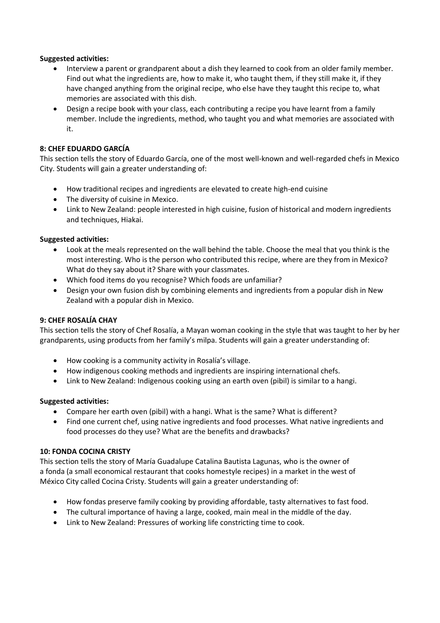## **Suggested activities:**

- Interview a parent or grandparent about a dish they learned to cook from an older family member. Find out what the ingredients are, how to make it, who taught them, if they still make it, if they have changed anything from the original recipe, who else have they taught this recipe to, what memories are associated with this dish.
- Design a recipe book with your class, each contributing a recipe you have learnt from a family member. Include the ingredients, method, who taught you and what memories are associated with it.

## **8: CHEF EDUARDO GARCÍA**

This section tells the story of Eduardo García, one of the most well-known and well-regarded chefs in Mexico City. Students will gain a greater understanding of:

- How traditional recipes and ingredients are elevated to create high-end cuisine
- The diversity of cuisine in Mexico.
- Link to New Zealand: people interested in high cuisine, fusion of historical and modern ingredients and techniques, Hiakai.

#### **Suggested activities:**

- Look at the meals represented on the wall behind the table. Choose the meal that you think is the most interesting. Who is the person who contributed this recipe, where are they from in Mexico? What do they say about it? Share with your classmates.
- Which food items do you recognise? Which foods are unfamiliar?
- Design your own fusion dish by combining elements and ingredients from a popular dish in New Zealand with a popular dish in Mexico.

#### **9: CHEF ROSALÍA CHAY**

This section tells the story of Chef Rosalía, a Mayan woman cooking in the style that was taught to her by her grandparents, using products from her family's milpa. Students will gain a greater understanding of:

- How cooking is a community activity in Rosalía's village.
- How indigenous cooking methods and ingredients are inspiring international chefs.
- Link to New Zealand: Indigenous cooking using an earth oven (pibil) is similar to a hangi.

#### **Suggested activities:**

- Compare her earth oven (pibil) with a hangi. What is the same? What is different?
- Find one current chef, using native ingredients and food processes. What native ingredients and food processes do they use? What are the benefits and drawbacks?

#### **10: FONDA COCINA CRISTY**

This section tells the story of María Guadalupe Catalina Bautista Lagunas, who is the owner of a fonda (a small economical restaurant that cooks homestyle recipes) in a market in the west of México City called Cocina Cristy. Students will gain a greater understanding of:

- How fondas preserve family cooking by providing affordable, tasty alternatives to fast food.
- The cultural importance of having a large, cooked, main meal in the middle of the day.
- Link to New Zealand: Pressures of working life constricting time to cook.